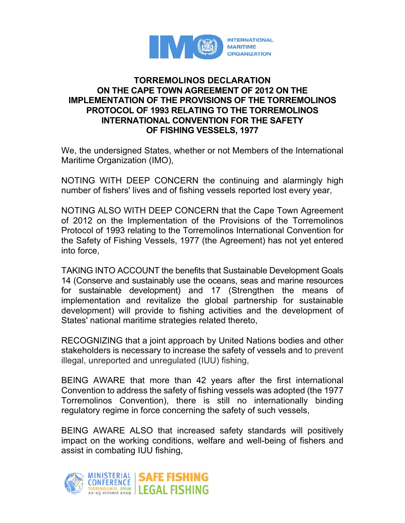

## **TORREMOLINOS DECLARATION ON THE CAPE TOWN AGREEMENT OF 2012 ON THE IMPLEMENTATION OF THE PROVISIONS OF THE TORREMOLINOS PROTOCOL OF 1993 RELATING TO THE TORREMOLINOS INTERNATIONAL CONVENTION FOR THE SAFETY OF FISHING VESSELS, 1977**

We, the undersigned States, whether or not Members of the International Maritime Organization (IMO),

NOTING WITH DEEP CONCERN the continuing and alarmingly high number of fishers' lives and of fishing vessels reported lost every year,

NOTING ALSO WITH DEEP CONCERN that the Cape Town Agreement of 2012 on the Implementation of the Provisions of the Torremolinos Protocol of 1993 relating to the Torremolinos International Convention for the Safety of Fishing Vessels, 1977 (the Agreement) has not yet entered into force,

TAKING INTO ACCOUNT the benefits that Sustainable Development Goals 14 (Conserve and sustainably use the oceans, seas and marine resources for sustainable development) and 17 (Strengthen the means of implementation and revitalize the global partnership for sustainable development) will provide to fishing activities and the development of States' national maritime strategies related thereto,

RECOGNIZING that a joint approach by United Nations bodies and other stakeholders is necessary to increase the safety of vessels and to prevent illegal, unreported and unregulated (IUU) fishing,

BEING AWARE that more than 42 years after the first international Convention to address the safety of fishing vessels was adopted (the 1977 Torremolinos Convention), there is still no internationally binding regulatory regime in force concerning the safety of such vessels,

BEING AWARE ALSO that increased safety standards will positively impact on the working conditions, welfare and well-being of fishers and assist in combating IUU fishing,

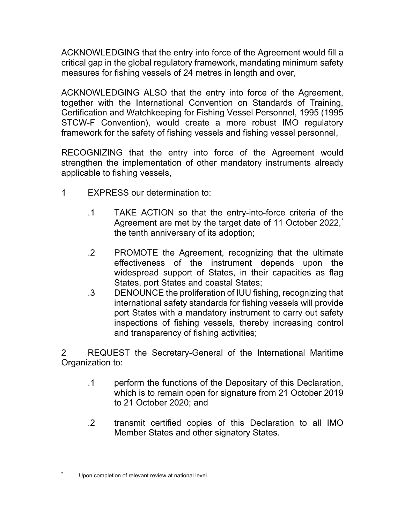ACKNOWLEDGING that the entry into force of the Agreement would fill a critical gap in the global regulatory framework, mandating minimum safety measures for fishing vessels of 24 metres in length and over,

ACKNOWLEDGING ALSO that the entry into force of the Agreement, together with the International Convention on Standards of Training, Certification and Watchkeeping for Fishing Vessel Personnel, 1995 (1995 STCW-F Convention), would create a more robust IMO regulatory framework for the safety of fishing vessels and fishing vessel personnel,

RECOGNIZING that the entry into force of the Agreement would strengthen the implementation of other mandatory instruments already applicable to fishing vessels,

- 1 EXPRESS our determination to:
	- .1 TAKE ACTION so that the entry-into-force criteria of the Agreement are met by the target date of 11 October 2022,<sup>\*</sup> the tenth anniversary of its adoption;
	- .2 PROMOTE the Agreement, recognizing that the ultimate effectiveness of the instrument depends upon the widespread support of States, in their capacities as flag States, port States and coastal States;
	- .3 DENOUNCE the proliferation of IUU fishing, recognizing that international safety standards for fishing vessels will provide port States with a mandatory instrument to carry out safety inspections of fishing vessels, thereby increasing control and transparency of fishing activities;

2 REQUEST the Secretary-General of the International Maritime Organization to:

- .1 perform the functions of the Depositary of this Declaration, which is to remain open for signature from 21 October 2019 to 21 October 2020; and
- .2 transmit certified copies of this Declaration to all IMO Member States and other signatory States.

<sup>\*</sup> Upon completion of relevant review at national level.